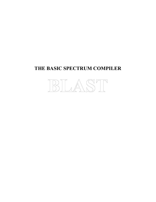# **THE BASIC SPECTRUM COMPILER**

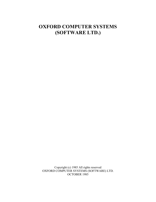# **OXFORD COMPUTER SYSTEMS (SOFTWARE LTD.)**

Copyright (c) 1985 All rights reserved OXFORD COMPUTER SYSTEMS (SOFTWARE) LTD. OCTOBER 1985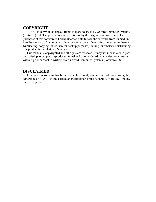## **COPYRIGHT**

BLAST is copyrighted and all rights to it are reserved by Oxford Computer Systems (Software) Ltd. The product is intended for use by the original purchaser only. The purchaser of this software is hereby licensed only to read the software from its medium into the memory of a computer solely for the purpose of executing the program therein. Duplicating, copying (other than for backup purposes), selling, or otherwise distributing this product is a violation of the law.

This manual is copyrighted and all rights are reserved. It may not in whole or in part be copied, photocopied, reproduced, translated or reproduced by any electronic means without prior consent in writing, from Oxford Computer Systems (Software) Ltd.

## **DISCLAIMER**

Although this software has been thoroughly tested, no claim is made concerning the adherence of BLAST to any particular specification or the suitability of BLAST for any particular purpose.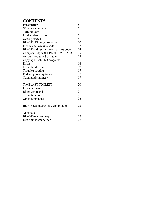# **CONTENTS**

| Introduction                        | 5              |
|-------------------------------------|----------------|
| What is a compiler                  | 6              |
| Terminology                         | $\overline{7}$ |
| Product description                 | $\overline{7}$ |
| Getting started                     | 8              |
| <b>BLASTING</b> large programs      | 10             |
| P-code and machine code             | 12             |
| BLAST and user written machine code | 14             |
| Compatability with SPECTRUM BASIC   | 15             |
| Autorun and saved variables         | 15             |
| Copying BLASTED programs            | 16             |
| Errors                              | 16             |
| Compiler directives                 | 17             |
| Trouble shooting                    | 17             |
| Reducing loading times              | 18             |
| Command summary                     | 19             |
| The BLAST TOOLKIT                   | 20             |
| Line commands                       | 21             |
| <b>Block commands</b>               | 21             |
| <b>String functions</b>             | 21             |
| Other commands                      | 22             |
| High speed integer only compilation | 23             |
| Appendix                            |                |
| <b>BLAST</b> memory map             | 25             |
| Run time memory map                 | 26             |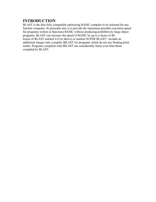## **INTRODUCTION**

BLAST is the first fully compatible optimising BASIC compiler to be released for any Sinclair computer. Its principle aim is to provide the maximum possible execution speed for programs written in Spectrum BASIC without producing prohibitively large object programs. BLAST can increase the speed of BASIC by up to a factor of 40. Issues of BLAST marked 4.0 (or above) or marked SUPER BLAST+ include an additional integer only compiler IBLAST for programs which do not use floating point maths. Programs compiled with IBLAST run considerably faster even than those compiled by BLAST.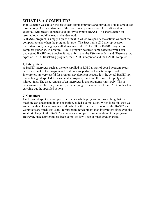# **WHAT IS A COMPILER?**

In this section we explain the basic facts about compilers and introduce a small amount of terminology. An understanding of the basic concepts introduced here, although not essential, will greatly enhance your ability to exploit BLAST. The short section on terminology should be read and understood.

A BASIC program is simply a piece of text in which we specify the actions we want the computer to take when the program is RUN. The Spectrum's Z80 microprocessor understands only a language called machine code. To the Z80, a BASIC program is complete gibberish. In order to RUN a program we need some software which can understand BASIC and translate it into a form that the Z80 can understand. There are two types of BASIC translating program, the BASIC interpreter and the BASIC compiler.

### **1) Interpreters**

A BASIC interpreter such as the one supplied in ROM as part of your Spectrum, reads each statement of the program and as it does so, performs the actions specified. Interpreters are very useful for program development because it is the actual BASIC text that is being interpreted. One can edit a program, run it and then re-edit rapidly and without fuss. The disadvantage of an interpreter is that programs run slowly. This is because most of the time, the interpreter is trying to make sense of the BASIC rather than carrying out the specified actions.

## **2) Compilers**

Unlike an interpreter, a compiler translates a whole program into something that the machine can understand in one operation, called a compilation. When it has finished we are left with a block of machine code which is the translated version of the BASIC text. Compilers are much less useful for program development than interpreters since even the smallest change to the BASIC necessitates a complete re-compilation of the program. However, once a program has been compiled it will run at much greater speed.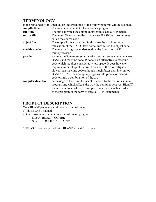## **TERMINOLOGY**

|                    | In the remainder of this manual an understanding of the following terms will be assumed.                                                                                                                                                                                                                                                                                                                                                  |
|--------------------|-------------------------------------------------------------------------------------------------------------------------------------------------------------------------------------------------------------------------------------------------------------------------------------------------------------------------------------------------------------------------------------------------------------------------------------------|
| compile time       | The time at which BLAST compiles a program                                                                                                                                                                                                                                                                                                                                                                                                |
| run time           | The time at which the compiled program is actually executed.                                                                                                                                                                                                                                                                                                                                                                              |
| source file        | The input file to a compiler, in this case BASIC text, sometimes<br>called the source code.                                                                                                                                                                                                                                                                                                                                               |
| object file        | The output from a compiler, in this case the machine code<br>translation of the BASIC text, sometimes called the object code.                                                                                                                                                                                                                                                                                                             |
| machine code       | The internal language understood by the Spectrum's Z80<br>microprocessor.                                                                                                                                                                                                                                                                                                                                                                 |
| p-code             | An intermediate representation of a program somewhere between<br>BASIC and machine code. P-code is an alternative to machine<br>code which requires considerably less space. It does however<br>require a mini interpreter at run time and is therefore slightly<br>slower than machine code although much faster than interpreted<br>BASIC. BLAST can compile programs into p-code or machine<br>code or, into a combination of the two. |
| compiler directive | A message to the compiler which is added to the text of a source<br>program and which affects the way the compiler behaves. BLAST<br>features a number of useful compiler directives which are added<br>to the program in the form of special REM statements.                                                                                                                                                                             |

# **PRODUCT DESCRIPTION**

Your BLAST package should contain the following: 1) This BLAST manual 2) One cassette tape containing the following programs Side A: BLAST / COPIER Side B: TOOLKIT / IBLAST\*

\* IBLAST is only supplied with BLAST issue 4.0 or above.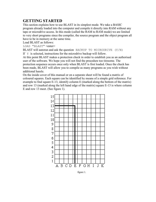# **GETTING STARTED**

This section explains how to use BLAST in its simplest mode. We take a BASIC program already loaded into the computer and compile it directly into RAM without any tape or microdrive access. In this mode (called the RAM to RAM mode) we are limited to very short programs since the compiler, the source program and the object program all have to be in memory at the same time.

Load BLAST as follows:

LOAD "BLAST" <enter>

BLAST will autorun and ask the question BACKUP TO MICRODRIVE (Y/N)

If  $Y$  is selected, instructions for the microdrive backup will follow.

At this point BLAST makes a protection check in order to establish you as an authorised user of the software. We hope you will not find the procedure too tiresome. The protection sequence occurs once only when BLAST is first loaded. Once the check has been made, BLAST will allow you to compile as many programs as you wish without additional hassle.

On the inside cover of this manual or on a separate sheet will be found a matrix of coloured squares. Each square can be identified by means of a simple grid reference. For example to find square E-13, identify column E (marked along the bottom of the matrix) and row 13 (marked along the left hand edge of the matrix) square E-13 is where column E and row 13 meet. (See figure 1).



figure 1.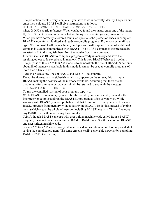The protection check is very simple; all you have to do is correctly identify 4 squares and enter their colours. BLAST will give instructions as follows:

ENTER THE COLOUR IN SQUARE X-XX (W, Y, G, R)?

where X-XX is a grid reference. When you have found the square, enter one of the letters W, Y, G or R depending upon whether the square is white, yellow, green or red. When you have correctly answered four such questions the protection check is complete. BLAST is now fully initialised and ready to compile programs. From now on, until you type NEW or switch off the machine, your Spectrum will respond to a set of additional commands used to communicate with BLAST. The BLAST commands are preceded by an asterix  $(*)$  to distinguish them from the regular Spectrum commands.

First we shall use BLAST to compile a program already in memory and have the resulting object code stored also in memory. This is how BLAST behaves by default. The purpose of this RAM to RAM mode is to demonstrate the use of BLAST. Since only about 2k of memory is available in this mode it can not be used to compile programs of more than a trivial size.

Type in or load a few lines of BASIC and type  $\star$ C to compile.

Do not be alarmed at any gibberish which may appear on the screen; this is simply BLAST making the best use of the memory available. Assuming that there are no problems, after a minute or two control will be returned to you with the message: (0) WARNINGS (0) ERRORS

To run the compiled version of your program, type  $*R$ .

While BLAST is in memory, you will be able to edit your source code, run under the interpreter or compile and run the BLASTED program as often as you wish. While working with BLAST, you will probably find that from time to time you wish to clear a BASIC program from memory without destroying BLAST. To do this, instead of typing NEW (which clears the whole of memory including BLAST) use  $*N$ . This will remove any BASIC text without affecting the compiler.

N.B. Although BLAST can cope with user written machine code called from a BASIC program, it can not do so when used in RAM to RAM mode. See the section on BLAST and user written machine code.

Since RAM to RAM mode is only intended as a demonstration, no method is provided of saving the compiled program. The same effect is easily achievable however by compiling RAM to TAPE (see below).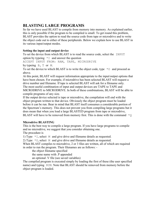## **BLASTING LARGE PROGRAMS**

So far we have used BLAST to compile from memory into memory. As explained earlier, this is only possible if the program to be compiled is small. To get round this problem, BLAST provides the option to read the source code from tape or microdrive and to write the object code out to either of these peripherals. Below we explain how to use BLAST in its various input/output modes.

## **Setting the input and output device**

To set the device from which BLAST is to read the source code, select the INPUT option by typeing  $\star$ <sup>1</sup> and answer the question

ACCEPT INPUT FROM: RAM, TAPE, MICRODRIVE

by typeing B, T or M.

To set the device to which BLAST is to write the object code, type  $\star$ O and proceed as above.

At this point, BLAST will request information appropriate to the input/output options that have been chosen. For example, if microdrive has been selected BLAST will request a drive number and filename. If tape is selected BLAST will ask for a filename only. The most useful combination of input and output devices are TAPE to TAPE and MICRODRIVE to MICRODRIVE. In both of these combinations, BLAST will be able to compile programs of any size.

If the output device selected is tape or microdrive, the compilation will end with the object program written to that device. Obviously the object program must be loaded before it can be run. Bear in mind that BLAST itself consumes a considerable portion of the Spectrum's memory. This does not prevent you from compiling large programs but it does mean that when you load a large BLASTED program from tape or microdrive, BLAST will have to be removed from memory first. This is done with the command  $\star$ Q

### **Microdrive BLASTING**

This is the best way to compile a large program. If you have large programs to compile and no microdrive, we suggest that you consider obtaining one.

The procedure is

1) Type \*I, select M and give drive and filename details as requested.

2) Type  $\star$  O, select M and give drive and filename details as requested.

When BLAST compiles to microdrive, 2 or 3 files are written, all of which are required in order to run the program. Their filenames are as follows: -

the object filename specified

the same name with .P appended

an optional .V file (see saved variables)

The compiled program is executed simply by loading the first of these (the user specified name) and typing RUN. Note that BLAST should be removed from memory before the object program is loaded.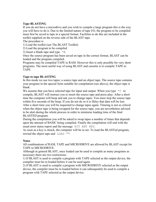### **Tape BLASTING**

If you do not have a microdrive and you wish to compile a large program this is the way you will have to do it. Due to the limited nature of tape I/O, the program to be compiled must first be saved to tape in a special format. Facilities to do this are included in the toolkit supplied on the reverse side of the BLAST tape.

The procedure is

1) Load the toolkit (see The BLAST Toolkit)

2) Load the program to be compiled

3) Insert a blank tape and type  $*$ B

Once the source program has been saved on tape in the correct format, BLAST can be loaded and the program compiled.

Programs may be compiled TAPE to RAM. However this is only possible for very short programs. The most useful way of using BLAST and cassette is to compile TAPE to TAPE.

#### **Tape to tape BLASTING**

In this mode we use two tapes; a source tape and an object tape. The source tape contains your program in the special form suitable for compilation (see above), the object tape is blank.

We assume that you have selected tape for input and output. When you type  $\star$ C to compile, BLAST will instruct you to insert the source tape and press play. After a short time the computer will beep and ask you to change tapes. You must stop the source tape within five seconds of the beep. If you do not do so it is likley that data will be lost. After a short time you will be requested to change tapes again. Timeing is not so critical when the object tape is being swopped for the source tape; you are nevertheless advised to be alert during the whole process in order to minimise loading time of the final BLASTED program.

During the compilation you will be asked to swap tapes a number of times that depends upon the amount of BASIC being compiled. Finally the compilation will end with the usual error status report and the message HIT ANY KEY.

As soon as a key is struck, the computer will be re-set. To load the BLASTed program, rewind the object tape and LOAD "".

#### **Notes**

All combinations of RAM, TAPE and MICRODRIVE are allowed by BLAST except for TAPE to MICRODRIVE.

Although in general BLAST, once loaded can be used to compile as many programs as necessary there are two restrictions:

1) If BLAST is used to compile a program with TAPE selected as the output device, the compiler must be re-loaded before it can be used again.

2) If BLAST is used to compile a program with MICRODRIVE selected as the output device, the compiler must be re-loaded before it can subsequently be used to compile a program with TAPE selected as the output device.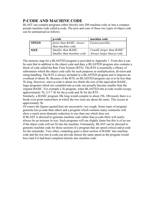# **P-CODE AND MACHINE CODE**

BLAST can compile programs either directly into Z80 machine code or into a compact pseudo machine code called p-code. The pros and cons of these two types of object code can be summarised as follows:

|              | p-code                    | machine code               |
|--------------|---------------------------|----------------------------|
| <b>SPEED</b> | faster than BASIC, slower | <i>Fastest possible.</i>   |
|              | than machine code.        |                            |
| <b>SIZE</b>  | Smaller than BASIC.       | Usually larger than BASIC. |
|              | Smaller than machine code | Always larger than p-code. |

The memory map for a BLASTED program is provided in Appendix 1. From this it can be seen that in addition to the object code and data, a BLASTED program also contains a block of code called the Run Time System (RTS). The RTS is essentially a library of subroutines which the object code calls for such purposes as multiplication, division and string handling. The RTS is always included in a BLASTED program and it imposes an overhead of about 5k. Because of the RTS, no BLASTED program can ever be less than 5k long. However, since p-code is about two thirds the size of the equivalent BASIC, large programs which are compiled into p-code can actually become smaller than the original BASIC. For example a 3k program, when BLASTED into p-code would occupy approximately 7k; 2/3 \* 3k for the p-code and 5k for the RTS.

Similarly, a BASIC program 30k long would compile to about 25k. Obviously there is a break even point somewhere at which the two sizes are about the same. This occurs at approximatly 5k.

Of course the figures quoted here are necessarily very rough. Some types of program generate less p-code than others and a program which contains many comments will show a much more dramatic reduction in size than one which does not.

If BLAST is directed to generate machine code rather than p-code there will nearly always be an increase in size. Such programs will run slightly faster but this is of no use if the object code will not fit into the machine. Fortunately, BLAST can be directed to generate machine code for those sections of a program that are speed critical and p-code for the remainder. Very often, compiling quite a short section of BASIC into machine code and the rest into p-code can provide almost the same speed as the program would have had if it had been compiled entirely into machine code.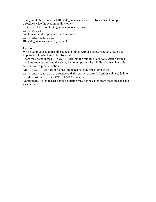The type of object code that BLAST generates is specified by means of compiler directives. (See the section on this topic) To instruct the compiler to generate p-code we write REM! PCODE and to instruct it to generate machine code, REM! MACHINE CODE BLAST generates p-code by default.

### **Caution**

Whenever p-code and machine code are mixed within a single program, there is an important rule which must be observed:

There may be no jumps (GOTO/GOSUB) into the middle of a p-code section from a machine code section and there may be no jumps into the middle of a machine code section from a p-code section.

All GOTO/GOSUB's from p-code into machine code must jump to the

REM! MACHINE CODE directive and all GOTO/GOSUB's from machine code into p-code must jump to the REM! PCODE directive.

Additionally, a p-code user defined function may not be called from machine code and visa versa.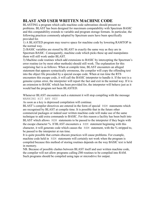# **BLAST AND USER WRITTEN MACHINE CODE**

BLASTING a program which calls machine code subroutines should present no problems. BLAST has been designed for maximum compatability with Spectrum BASIC and this compatability extends to variable and program storage formats. In particular, the following practices commonly adopted by Spectrum users have been specifically provided for.

1) A BLASTED program may reserve space for machine code by lowering RAMTOP in the normal way.

2) BASIC variables are stored by BLAST in exactly the same way as they are in Spectrum BASIC. Consequently, machine code which picks these up and manipulates them will still work under BLAST.

3) Machine code routines which add extensions to BASIC by intercepting the Spectrum's error routine (or by most other methods) should still work. The explanation for this surprising fact is as follows: When at compile time, BLAST encounters an alleged statement that appears syntactically erroneous, the compiler will copy the offending text into the object file preceded by a special escape code. When at run time the RTS encounters this escape code, it will call the BASIC interpreter to handle it. If the text is a genuine syntax error, the interpreter will report the fact and exit in the normal way. If it is an extension to BASIC which has been provided for, the interpreter will behave just as it would had the program not been BLASTED.

Whenever BLAST encounters such a statement it will stop compiling with the message WARNING HIT ANY KEY

As soon as a key is depressed compilation will continue.

BLAST's compiler directives are entered in the form of special REM statements which are recognised by BLAST at compile time. It is possible that in the future other commercial packages or indeed user written machine code will make use of the same technique to add extra commands to BASIC. For this reason a facility has been built into BLAST which allows REM statements to be passed to the interpreter if they begin with the escape character %. If BLAST encounters a REM statement beginning with this character, it will generate code which causes the REM statement, with the % stripped to, be passed to the interpreter at run time.

It is quite possible that certain obscure practices will cause problems. For example, machine code held in REM statements will certainly not work when the program is compiled because this method of storing routines depends on the way BASIC text is held in memory.

NB. Because of possible clashes between BLAST itself and user written machine code, the compiler will not allow programs calling Z80 routines to be compiled into RAM. Such programs should be compiled using tape or microdrive for output.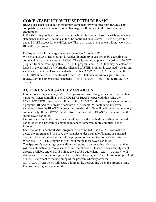# **COMPATABILITY WITH SPECTRUM BASIC**

BLAST has been designed for maximum compatability with Spectrum BASIC. This compatability extends not only to the language itself but also to the programming environment.

In BASIC, it is possible to stop a program while it is running, look at variables, execute statements and so on. The run can then be continued or re-started. This is all possible under BLAST except for one difference. The CONTINUE statement will not work on a BLASTED program.

## **Calling a BLASTED program as a subroutine from BASIC**

Whenever a BLASTED program is resident in memory it can be run by executing the command RANDOMIZE USR 23792. There is nothing to prevent an ordinary BASIC program from co-residing with a BLASTED program and BASIC text may be entered or loaded in the normal way. Normally when a BLASTED program is executed it clears any variables in memory. This can be disabled with a POKE 23803,1 or by using the AUTORUN directive. In order to make the BLASTED code return to a given line in BASIC, say line 1000 use the statement REM  $\frac{1}{6}$ : GOTO 1000 in the BLASTED program.

# **AUTORUN AND SAVED VARIABLES**

In order to save space, many BASIC programs are saved along with some or all of their variables. When compiling to MICRODRIVE BLAST copes with this using the REM! AUTORUN directive as follows: If the AUTORUN directive appears at the top of a program, BLAST will create a separate file (filename .V) containing any saved variables. When the BLASTED program is loaded, this file will be brought into memory automatically. If the AUTORUN directive is not included, BLAST will assume that there are no saved variables.

Unfortunately due to the limited nature of tape I/O, the method for dealing with saved variables when a program is compiled to tape is somewhat more complex. It is as follows.

Load the toolkit and the BASIC program to be compiled. Use the  $\star$ D command to delete the program and then save the variables under a suitable filename as a normal program. Insert a line at the start of the program to be compiled to MERGE this file. When the BLASTED program is run it will merge these saved variables.

The Spectrum's operating system allows programs to be saved in such a way that they will run automatically from a specified line number when loaded. Such a facility is not directly available under BLAST since the BLAST equivalent (REM! AUTORUN) will always cause execution to begin at the first line of a program. The solution is simple. Add a GOTO statement to the beginning of the program (directly after the

REM! AUTORUN) which will cause a jump to the desired line when the program runs. Re-save the program and compile.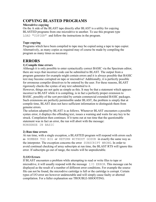## **COPYING BLASTED PROGRAMS**

#### **Microdrive copying**

On the A side of the BLAST tape directly after BLAST is a utility for copying BLASTED programs from one microdrive to another. To use this program type LOAD "COPIER" and follow the instructions in the program.

#### **Tape copying**

Programs which have been compiled to tape may be copied using a tape to tape copier. Alternatively, as many copies as required may of course be made by compiling the program as many times as necessary.

## **ERRORS**

### **1) Compile time errors**

Although it is only possible to enter syntactically correct BASIC via the Spectrum editor, there are ways that incorrect code can be submitted to BLAST. The output from a program generator for example might contain errors and it is always possible that BASIC text may become corrupted on tape or microdrive! Additionally, it is perfectly possible for erroneous compiler directives to be entered by the user. For these reasons, BLAST rigorously checks the syntax of any text submitted to it.

However, things are not quite as simple as this. It may be that a statement which appears incorrect to BLAST while it is compiling, is in fact a perfectly proper extension to BASIC, possibly of the sort provided by certain commercial extended BASIC packages. Such extensions are perfectly permissible under BLAST, the problem is simply that at compile time, BLAST does not have sufficient information to distinguish them from genuine errors.

The solution adopted by BLAST is as follows. Whenever BLAST encounters a possible syntax error, it displays the offending text, issues a warning and waits for any key to be struck. Compilation then continues. If it turns out at run time that the questionable statement was in fact an error, the run will abort with the message: NONSENSE IN BASIC

### **2) Run time errors**

At run time, with a single exception, a BLASTED program will respond with errors such as NUMBER TOO BIG or RETURN WITHOUT GOSUB in exactly the same way as the interpreter. The exception concerns the error SUBSCRIPT WRONG. In order to avoid continual checking of array subscripts at run time, the BLAST RTS will ignore this error. If subscripts go out of range, the results will be unpredictable.

### **3) I/O Errors**

If BLAST encounters a problem while attempting to read or write files to tape or microdrive, it will usually respond with the message  $I/O$  ERROR. This message can be displayed as the result of a number of different error conditions. For example the source file can not be found, the microdrive cartridge is full or the cartridge is corrupt. Certain types of I/O error are however undetectable and will simply cause faulty or aborted compilation. For a fuller explanation see TROUBLE-SHOOTING.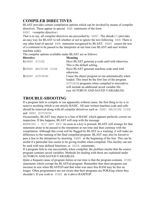# **COMPILER DIRECTIVES**

BLAST provides certain compilation options which can be invoked by means of compiler directives. These appear in special REM statements of the form

REM! <compiler directive>

That is to say, all compiler directives are preceeded by REM!. The shreak (!) provides an easy way for BLAST to tell whether or not to ignore the text following REM. There is one other kind of special REM statement recognised by BLAST; REM% causes the text of a comment to be passed to the interpreter at run time (see BLAST and user written machine code).

The compiler options available under BLAST are as follows:

| <b>Directive</b> | <b>Meaning</b>                                      |
|------------------|-----------------------------------------------------|
| 1) REM! PCODE    | Have BLAST generate p-code until told otherwise.    |
|                  | This is the default setting.                        |
|                  | Have BLAST generate machine code until told         |
|                  | otherwise.                                          |
| 3) REM! AUTORUN  | Cause the object program to run automatically when  |
|                  | loaded. This must be the first line of the program. |
|                  | AUTORUN programs when compiled to microdrive        |
|                  | will include an additional saved variable file.     |
|                  | (see AUTORUN AND SAVED VARIABLES)                   |
|                  | 2) REM! MACHINE CODE                                |

## **TROUBLE-SHOOTING**

If a program fails to compile or run apparently without cause, the first thing to try is to remove anything which is not strictly BASIC. All user written machine code and calls should be removed along with all compiler directives such as REM! MACHINE CODE and REM! AUTORUN.

Occasionally, BLAST may object to a line of BASIC which appears perfectly correct on inspection. If this happens, BLAST will stop with the message

WARNING - HIT ANY KEY. As soon as a key is pressed, BLAST will arrange for that statement alone to be passed to the interpreter at run time and then continue with the compilation. Although this event will be flagged by BLAST as a warning, it will make no difference to the running of the final compiled program. BLAST may also be forced to pass a line to the interpreter by inserting REM% at the beginning of the line. This can be useful if a particular line seems to be giving trouble when compiled. This facility can not be used with user defined functions, or DATA statements.

If a program fails to run successfully when compiled, the problem maybe that the source program contains saved variables. Methods for dealing with these are explained under AUTORUN AND SAVED VARIABLES.

Quite a frequent cause of program failure at run time is that the program contains POKE statements which corrupt the BLASTed program. Remember that short programs can increase in size when BLASTED and that what was once free RAM may be free no longer. Often programmers are not aware that their programs are POKEing where they shouldn't. If you wish to POKE do it above RAMTOP.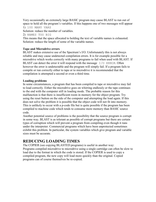Very occasionally an extremely large BASIC program may cause BLAST to run out of space to hold all the program's variables. If this happens one of two messages will appear

1) 100 MANY VARS

Solution: reduce the number of variables.

2) NAMES TOO BIG

This means that the space allocated to holding the text of variable names is exhausted. Solution: reduce the length of some of the variable names.

### **Tape and Microdrive errors**

BLAST makes extensive use of the Spectrum's I/O. Unfortunately this is not always reliable and may cause undetected compilation errors. It is for example possible for a microdrive which works correctly with many programs to fail when used with BLAST. If BLAST can detect the error it will respond with the message  $I/O$  ERROR. Often however the error is undetectable and the program will simply fail. If a program fails to compile or run correctly either to tape or to microdrive it is recommended that the compilation is attempted a second or even a third time.

### **Loading problems**

In some circumstances, a program that has been compiled to tape or microdrive may fail to load correctly. Either the microdrive goes on whirring endlessly or the tape continues to the end with the computer still in loading mode. The probable reason for this malfunction is that there is insufficient room in memory for the object program. Try using the reset button on the side of the computer and attempting the load again. If this does not solve the problem it is possible that the object code will not fit into memory. This is unlikely to occur with a p-code file but is quite possible if the program has been compiled to machine code which tends to consume more memory than BASIC source code.

Another potential source of problems is the possibility that the source program is corrupt in some way. BLAST is as tolerant as possible of corrupt programs but there are certain types of corruption which will prevent a program from compiling even though it runs under the interpreter. Commercial programs which have been unprotected sometimes exhibit this problem. In particular, the system variables which give program and variable sizes must be accurate.

## **REDUCING LOADING TIMES**

The COPIER (see copying BLASTED programs) is useful in another way: Programs compiled microdrive to microdrive using a single cartridge can often be slow to load due to the format in which the code is stored. If the COPIER is used to copy a compiled program, the new copy will load more quickly than the original. Copied programs can of course themselves be re-copied.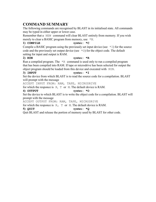# **COMMAND SUMMARY**

The following commands are recognised by BLAST in its initialised state. All commands may be typed in either upper or lower case.

Remember that a NEW command will clear BLAST entirely from memory. If you wish merely to clear a BASIC program from memory, use \*N.

#### **1) COMPILE syntax: \*C**

Compile a BASIC program using the previously set input device (see  $\pm$  1) for the source code and the previously set output device (see  $\star$ O) for the object code. The default setting for input and output is RAM.

#### **2) RUN syntax: \*R**

Run a compiled program. The  $*R$  command is used only to run a compiled program that has been compiled into RAM. If tape or microdrive has been selected for output the object program should be loaded from this device and executed with RUN.

#### **3) INPUT syntax: \*I**

Set the device from which BLAST is to read the source code for a compilation. BLAST will prompt with the message

ACCEPT INPUT FROM: RAM, TAPE, MICRODRIVE

for which the responce is  $R$ ,  $T$  or  $M$ . The default device is RAM.

#### **4) OUTPUT syntax: \*O**

Set the device to which BLAST is to write the object code for a compilation. BLAST will prompt with the message

ACCEPT OUTPUT FROM: RAM, TAPE, MICRODRIVE

for which the responce is  $R$ ,  $T$  or  $M$ . The default device is RAM.

#### **5) QUIT syntax: \*Q**

Quit BLAST and release the portion of memory used by BLAST for other code.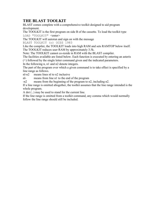# **THE BLAST TOOLKIT**

BLAST comes complete with a comprehensive toolkit designed to aid program development.

The TOOLKIT is the first program on side B of the cassette. To load the toolkit type LOAD "TOOLKIT" <enter>

The TOOLKIT will autorun and sign on with the message

BLAST TOOLKIT (c) OCSS 1983

Like the compiler, the TOOLKIT loads into high RAM and sets RAMTOP below itself. The TOOLKIT reduces user RAM by approximately 3.5k.

Note: The TOOLKIT cannot co-reside in RAM with the BLAST compiler.

The facilities available are listed below. Each function is executed by entering an asterix

(\*) followed by the single letter command given and the indicated parameters.

In the following n, n1 and n2 denote integers.

The part of the program over which a given command is to take effect is specified by a line range as follows.

nl-n2 means lines nl to n2 inclusive

nl- means from line n1 to the end of the program

-n2 means from the beginning of the program to n2, including n2.

If a line range is omitted altogether, the toolkit assumes that the line range intended is the whole program.

A dot (.) may be used to stand for the current line.

If the line range is omitted from a toolkit command, any comma which would normally follow the line range should still be included.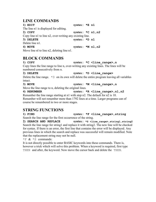## **LINE COMMANDS**

| $1)$ EDIT                                                | syntax: $*E$ n1          |  |
|----------------------------------------------------------|--------------------------|--|
| The line n1 is displayed for editing.                    |                          |  |
| 2) COPY                                                  | syntax: $\star$ C n1, n2 |  |
| Copy line n1 to line n2, over-writing any existing line. |                          |  |
| 3) DELETE                                                | syntax: $*D$ n1          |  |
| Delete line n1.                                          |                          |  |
| 4) MOVE                                                  | syntax: $*M n1, n2$      |  |
| Move line nl to line n2, deleting line n1.               |                          |  |

## **BLOCK COMMANDS**

### **1) COPY syntax: \*C <line\_range>,n**

Copy lines the line range to line n, over-writing any existing lines. The lines will be numbered consecutively from n.

**2) DELETE syntax: \*D <line\_range>** 

Delete the line range.  $\star$ D on its own will delete the entire program leaving all variables intact.

## **3) MOVE syntax: \*M <line\_range>,n**

Move the line range to n, deleting the original lines.

## **4) RENUMBER syntax: \*R <line\_range>,nl,n2**

Renumber the line range starting at n1 with step n2. The default for n2 is 10. Renumber will not renumber more than 1792 lines at a time. Larger programs can of course be renumbered in two or more stages.

## **STRING FUNCTIONS**

**1) FIND syntax: \*F <line\_range>,string**  Search the line range for the first occurrence of the string.

**2) SEARCH AND REPLACE syntax: \*S <line\_range>,stringl,string2** Search the line range for string1 and replace it with string2. The new line will be checked for syntax. If there is an error, the first line that contains the error will be displayed. Any previous lines in which the search and replace was successful will remain modified. Note that the replacement string may not be null.

 $*F$  &  $*S$  commands:

It is not directly possible to enter BASIC keywords into these commands. There is, however a trick which will solve this problem. When a keyword is required, first type THEN and after, the keyword. Now move the cursor back and delete the THEN.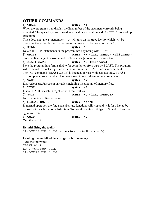# **OTHER COMMANDS**

| UTHER CUMMANDS                                                                            |                                                                                                    |
|-------------------------------------------------------------------------------------------|----------------------------------------------------------------------------------------------------|
| 1) TRACE                                                                                  | syntax: $*T$                                                                                       |
| When the program is run display the linenumber of the statement currently being           |                                                                                                    |
|                                                                                           | executed. The space key can be used to slow down execution and SHIFT O to hold up                  |
| execution.                                                                                |                                                                                                    |
| Trace does not take a linenumber. $\star$ T will turn on the trace facility which will be |                                                                                                    |
| operative thereafter during any program run; trace can be turned off with $*U$            |                                                                                                    |
| $2)$ KILL                                                                                 | syntax: $*K$                                                                                       |
| Delete all REM statements in the program not beginning with ! or $\frac{1}{6}$            |                                                                                                    |
| 3) WRITE                                                                                  | syntax: *W <line range="">, <filename></filename></line>                                           |
| Save the line range to cassette under <filename> (maximum 10 characters).</filename>      |                                                                                                    |
| 4) BLAST SAVE                                                                             | syntax: *B <filename></filename>                                                                   |
|                                                                                           | Save the program in a form suitable for compilation from tape by BLAST. The program                |
| will be saved in blocks together with the information BLAST needs to compile it.          |                                                                                                    |
| The $*$ B command (BLAST SAVE) is intended for use with cassette only. BLAST              |                                                                                                    |
| can compile a program which has been saved to microdrive in the normal way.               |                                                                                                    |
| 5) VARS                                                                                   | syntax: $*v$                                                                                       |
| List various useful system variables including the amount of memory free.                 |                                                                                                    |
| $6$ ) LIST                                                                                | syntax: $*L$                                                                                       |
| List all BASIC variables together with their values.                                      |                                                                                                    |
| 7) JOIN                                                                                   | syntax: $*J$ <line number=""></line>                                                               |
| Join the indicated line to the next.                                                      |                                                                                                    |
| 8) GLOBAL ON/OFF                                                                          | syntax: $*A/\star G$                                                                               |
|                                                                                           | In normal operation the find and substitute functions will stop and wait for a key to be           |
|                                                                                           | pressed after each find or substitution. To turn this feature off type $\star$ G and to turn it on |
| again use $*A$                                                                            |                                                                                                    |
| $9)$ QUIT                                                                                 | syntax: $*Q$                                                                                       |
| Quit the toolkit.                                                                         |                                                                                                    |
|                                                                                           |                                                                                                    |

### **Re-initialising the toolkit**

RANDOMISE USR 61950 will reactivate the toolkit after a  $\star$ Q.

## **Loading the toolkit while a program is in memory**

Type the following: CLEAR 61946 LOAD "tkcode" CODE RANDOMIZE USR 61950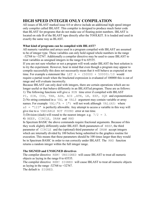# **HIGH SPEED INTEGER ONLY COMPILATION**

All issues of BLAST marked issue 4.0 or above include an additional high speed integer only compiler called IBLAST. This compiler is designed to produce much faster code than BLAST for programs that do not make use of floating point numbers. IBLAST is located on side B of the BLAST tape directly after the TOOLKIT. It is loaded and used in exactly the same way as BLAST.

## **What kind of programs can be compiled with IBLAST?**

All numeric variables and arrays used in a program compiled with IBLAST are assumed to be of integer type. These variables can only hold signed whole numbers in the range -32768 to +32767. Additionally a compiler directive may be used to cause IBLAST to treat variables as unsigned integers in the range 0 to 65535.

If you are not sure whether or not a program will work under IBLAST the best solution is to try the experiment. However, bear in mind that even though a program may appear to compile successfully this does not necessarily mean that it will behave as expected at run time. For example a statement like LET  $A = (50000 + 50000)/10$  would require a partial result when the bracketed expression is evaluated of 100000 this is out of range and will evaluate incorrectly.

Because IBLAST can only deal with integers, there are certain operations which are no longer useful or that behave differently in an IBLASTed program. These are as follows: 1) The following functions will give a RUN time error if compiled with IBLAST PI, SIN, COS, TAN, ASN, ACS ,ATN, LN, EXP, SQR and exponentiation 2) No string contained in a VAL or VAL\$ argument may contain variable or array names. For example VAL ("A + 1") will not work although VAL (A\$) where  $a\hat{S}$  = "123" is perfectly allowable. Any attempt to access a variable in this way will give rise to a VARIABLE NOT FOUND error at run time.

3) Division (slash) will round to the nearest integer. e.g.  $7/2 = 3$ .

4) BEEP, CIRCLE, DRAW and RND

In Spectrum BASIC the above commands require fractional arguments. Because of this they work slightly differently under IBLAST. Both parameters of BEEP, the third parameter of CIRCLE and the (optional) third parameter of DRAW accept integers which are internally divided by 100 before being submitted to the graphics routine for execution. This means that these parameters should be 100 times larger than they would be in Spectrum BASIC in order to run correctly under IBLAST. The RND function returns a random integer within the full integer range.

## **The SIGNED and UNSIGNED directives**

The compiler directive REM! UNSIGNED will cause IBLAST to treat all numeric objects as laying in the range 0 to 65535.

The compiler directive REM! SIGNED will cause IBLAST to treat all numeric objects as laying in the range  $-32768$  to  $+32767$ .

The default is SIGNED.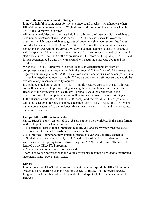#### **Some notes on the treatment of integers.**

It may be helpful in some cases for users to understand precisely what happens when IBLAST integers are manipulated. We first discuss the situation that obtains when the UNSIGNED directive is in force.

All numeric variables and arrays are held in a 16 bit word of memory. Such variables can hold numbers between 0 and 65535. Since IBLAST does not check for overflow, operations which cause variables to go out of range may give incorrect results. Let us consider the statement LET  $A = 65530 + 10$ . Since the expression evaluates to 65540, the answer will not be correct. What will actually happen is that the variable A will "wrap around" that is, as soon as it reaches 65535 and is incremented by one it will start over at zero. The result of the expression will therefore be 4. Equally, if  $A = 0$  and is then decremented by one, the wrap around will occur the other way about and the result will be 65535.

When the  $Sigma$  directive is in force (as it is by default) numbers obey 2's compliment rules that is, any number N in the range  $32768 \le N \le 65535$  is treated as a negative number equal to N-65536. This allows certain operations such as comparisons to manipulate negative numbers correctly. Of course wrap around still occurs and should be avoided except when specifically required.

It should be noted that even in UNSIGNED mode negative constants are still allowed and will be converted to positive integers using the 2's complement rule quoted above. Because of the wrap around rules, this will normally yield the correct result in a calculation. Any floating point constant will be rounded down to the nearest integer. In the absence of the REM! UNSIGNED compiler directive, all but three operations will assume a signed format. The three exceptions are PEEK, POKE and IN where parameters are assumed to be unsigned; this allows PEEK, POKE and IN to access the whole of memory.

### **Compatibility with the interpreter**

Unlike BLAST, some versions of IBLAST do not hold their variables in the same format as the interpreter. This has certain consequences.

1) No statement passed to the interpreter (see BLAST and user written machine code) may contain references to variables or array elements.

2) No Interface 1 command may contain references to variables or array elements.

3) So that these may be identified, IBLAST will still write a .V file containing any saved variables when compiling to microdrive using the AUTORUN directive. These will be ignored by the IBLASTed program.

4) Variables can not be SAVed or MERGed.

There is of course no reason why the value of variables may not be passed to interpreted statements using POKE and PEEK.

### **Errors**

In order to allow IBLASTed programs to run at maximum speed, the IBLAST run time system does not perform as many run time checks as BLAST or interpreted BASIC. Programs should be checked carefully under the interpreter before being submitted to IBLAST.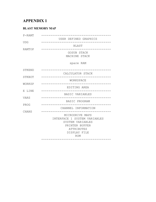# **APPENDIX 1**

## **BLAST MEMORY MAP**

| $P - RAMT$ | USER DEFINED GRAPHICS                                                                                                             |
|------------|-----------------------------------------------------------------------------------------------------------------------------------|
| <b>UDG</b> |                                                                                                                                   |
| RAMTOP     | BLAST<br>---------------                                                                                                          |
|            | GOSUB STACK<br>MACHINE STACK                                                                                                      |
|            | spare RAM                                                                                                                         |
| STKEND     |                                                                                                                                   |
| STKBOT     | CALCULATOR STACK                                                                                                                  |
|            | WORKSPACE                                                                                                                         |
| WORKSP     | EDITING AREA                                                                                                                      |
| E LINE     | ____________<br>BASIC VARIABLES                                                                                                   |
| VARS       | -----------------<br>-------------<br>BASIC PROGRAM                                                                               |
| PROG       |                                                                                                                                   |
| CHANS      | CHANNEL INFORMATION<br>______________________________                                                                             |
|            | MICRODRIVE MAPS<br>INTERFACE 1 SYSTEM VARIABLES<br>SYSTEM VARIABLES<br>PRINTER BUFFER<br><b>ATTRIBUTES</b><br>DISPLAY FILE<br>ROM |
|            |                                                                                                                                   |